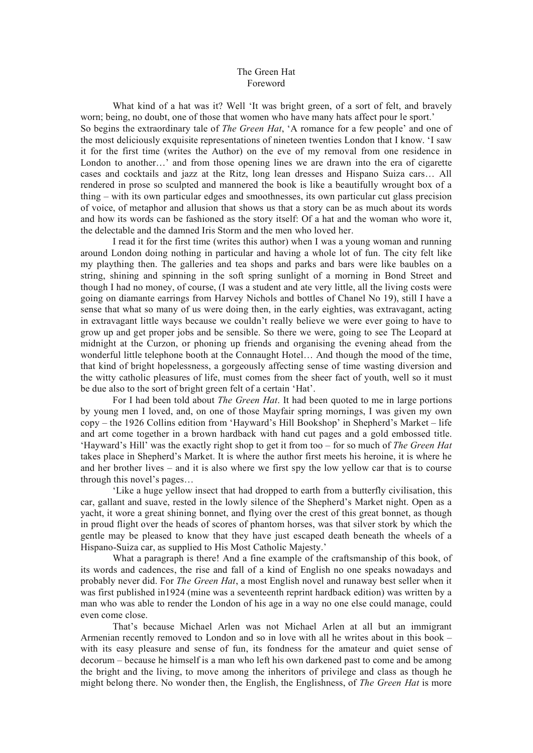## The Green Hat Foreword

What kind of a hat was it? Well 'It was bright green, of a sort of felt, and bravely worn; being, no doubt, one of those that women who have many hats affect pour le sport.' So begins the extraordinary tale of *The Green Hat*, 'A romance for a few people' and one of the most deliciously exquisite representations of nineteen twenties London that I know. 'I saw it for the first time (writes the Author) on the eve of my removal from one residence in London to another...' and from those opening lines we are drawn into the era of cigarette cases and cocktails and jazz at the Ritz, long lean dresses and Hispano Suiza cars… All rendered in prose so sculpted and mannered the book is like a beautifully wrought box of a thing – with its own particular edges and smoothnesses, its own particular cut glass precision of voice, of metaphor and allusion that shows us that a story can be as much about its words and how its words can be fashioned as the story itself: Of a hat and the woman who wore it, the delectable and the damned Iris Storm and the men who loved her.

I read it for the first time (writes this author) when I was a young woman and running around London doing nothing in particular and having a whole lot of fun. The city felt like my plaything then. The galleries and tea shops and parks and bars were like baubles on a string, shining and spinning in the soft spring sunlight of a morning in Bond Street and though I had no money, of course, (I was a student and ate very little, all the living costs were going on diamante earrings from Harvey Nichols and bottles of Chanel No 19), still I have a sense that what so many of us were doing then, in the early eighties, was extravagant, acting in extravagant little ways because we couldn't really believe we were ever going to have to grow up and get proper jobs and be sensible. So there we were, going to see The Leopard at midnight at the Curzon, or phoning up friends and organising the evening ahead from the wonderful little telephone booth at the Connaught Hotel… And though the mood of the time, that kind of bright hopelessness, a gorgeously affecting sense of time wasting diversion and the witty catholic pleasures of life, must comes from the sheer fact of youth, well so it must be due also to the sort of bright green felt of a certain 'Hat'.

For I had been told about *The Green Hat*. It had been quoted to me in large portions by young men I loved, and, on one of those Mayfair spring mornings, I was given my own copy – the 1926 Collins edition from 'Hayward's Hill Bookshop' in Shepherd's Market – life and art come together in a brown hardback with hand cut pages and a gold embossed title. 'Hayward's Hill' was the exactly right shop to get it from too – for so much of *The Green Hat* takes place in Shepherd's Market. It is where the author first meets his heroine, it is where he and her brother lives – and it is also where we first spy the low yellow car that is to course through this novel's pages…

'Like a huge yellow insect that had dropped to earth from a butterfly civilisation, this car, gallant and suave, rested in the lowly silence of the Shepherd's Market night. Open as a yacht, it wore a great shining bonnet, and flying over the crest of this great bonnet, as though in proud flight over the heads of scores of phantom horses, was that silver stork by which the gentle may be pleased to know that they have just escaped death beneath the wheels of a Hispano-Suiza car, as supplied to His Most Catholic Majesty.'

What a paragraph is there! And a fine example of the craftsmanship of this book, of its words and cadences, the rise and fall of a kind of English no one speaks nowadays and probably never did. For *The Green Hat*, a most English novel and runaway best seller when it was first published in1924 (mine was a seventeenth reprint hardback edition) was written by a man who was able to render the London of his age in a way no one else could manage, could even come close.

That's because Michael Arlen was not Michael Arlen at all but an immigrant Armenian recently removed to London and so in love with all he writes about in this book – with its easy pleasure and sense of fun, its fondness for the amateur and quiet sense of decorum – because he himself is a man who left his own darkened past to come and be among the bright and the living, to move among the inheritors of privilege and class as though he might belong there. No wonder then, the English, the Englishness, of *The Green Hat* is more